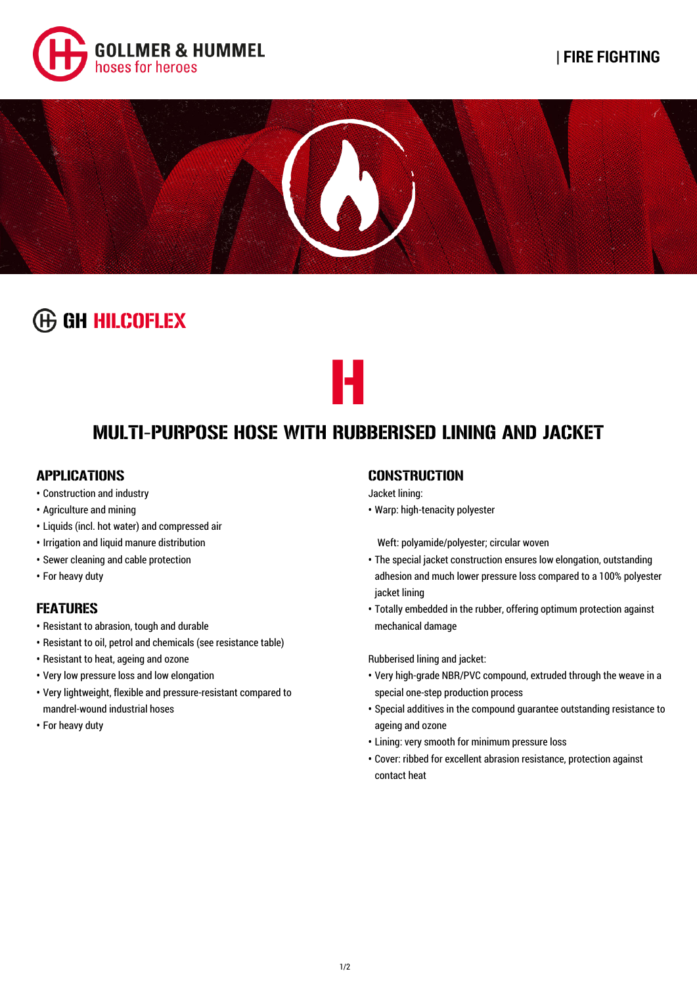



# **GGH HILCOFLEX**



H

### APPLICATIONS

- Construction and industry
- Agriculture and mining
- Liquids (incl. hot water) and compressed air
- Irrigation and liquid manure distribution
- Sewer cleaning and cable protection
- For heavy duty

## FEATURES

- Resistant to abrasion, tough and durable
- Resistant to oil, petrol and chemicals (see resistance table)
- Resistant to heat, ageing and ozone
- Very low pressure loss and low elongation
- Very lightweight, flexible and pressure-resistant compared to mandrel-wound industrial hoses
- For heavy duty

## **CONSTRUCTION**

#### Jacket lining:

**•** Warp: high-tenacity polyester

Weft: polyamide/polyester; circular woven

- The special jacket construction ensures low elongation, outstanding adhesion and much lower pressure loss compared to a 100% polyester jacket lining
- Totally embedded in the rubber, offering optimum protection against mechanical damage

Rubberised lining and jacket:

- Very high-grade NBR/PVC compound, extruded through the weave in a special one-step production process
- Special additives in the compound guarantee outstanding resistance to ageing and ozone
- Lining: very smooth for minimum pressure loss
- Cover: ribbed for excellent abrasion resistance, protection against contact heat